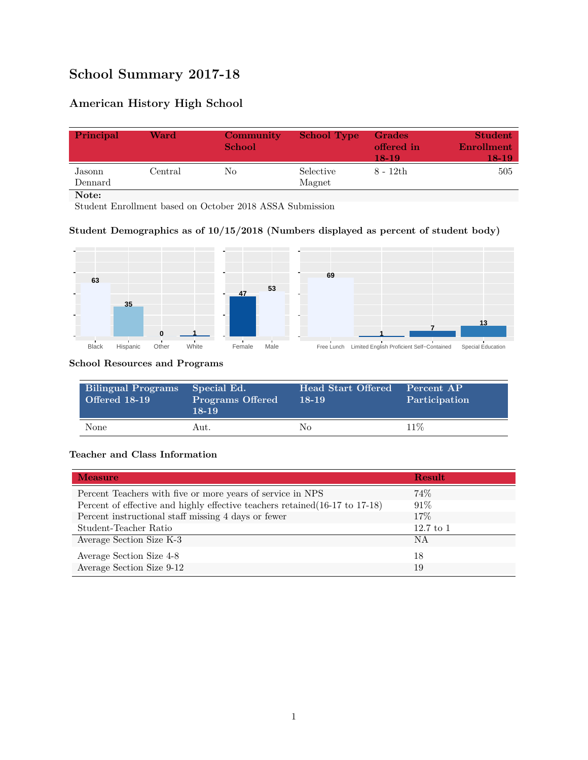# **School Summary 2017-18**

## **American History High School**

| Principal         | Ward          | Community<br><b>School</b> | <b>School Type</b>  | <b>Grades</b><br>offered in<br>$18-19$ | <b>Student</b><br>Enrollment<br>18-19 |
|-------------------|---------------|----------------------------|---------------------|----------------------------------------|---------------------------------------|
| Jasonn<br>Dennard | $\rm Central$ | No                         | Selective<br>Magnet | 8 - 12th                               | 505                                   |
| Note:             |               |                            |                     |                                        |                                       |

Student Enrollment based on October 2018 ASSA Submission

### **Student Demographics as of 10/15/2018 (Numbers displayed as percent of student body)**



#### **School Resources and Programs**

| <b>Bilingual Programs</b><br><b>Offered 18-19</b> | Special Ed.<br><b>Programs Offered</b><br>$18 - 19$ | Head Start Offered<br>18-19 | Percent AP<br>Participation |
|---------------------------------------------------|-----------------------------------------------------|-----------------------------|-----------------------------|
| None                                              | Aut.                                                | Nο                          | $11\%$                      |

#### **Teacher and Class Information**

| <b>Measure</b>                                                               | Result      |
|------------------------------------------------------------------------------|-------------|
| Percent Teachers with five or more years of service in NPS                   | 74%         |
| Percent of effective and highly effective teachers retained (16-17 to 17-18) | $91\%$      |
| Percent instructional staff missing 4 days or fewer                          | 17\%        |
| Student-Teacher Ratio                                                        | $12.7$ to 1 |
| Average Section Size K-3                                                     | <b>NA</b>   |
| Average Section Size 4-8                                                     | 18          |
| Average Section Size 9-12                                                    | 19          |